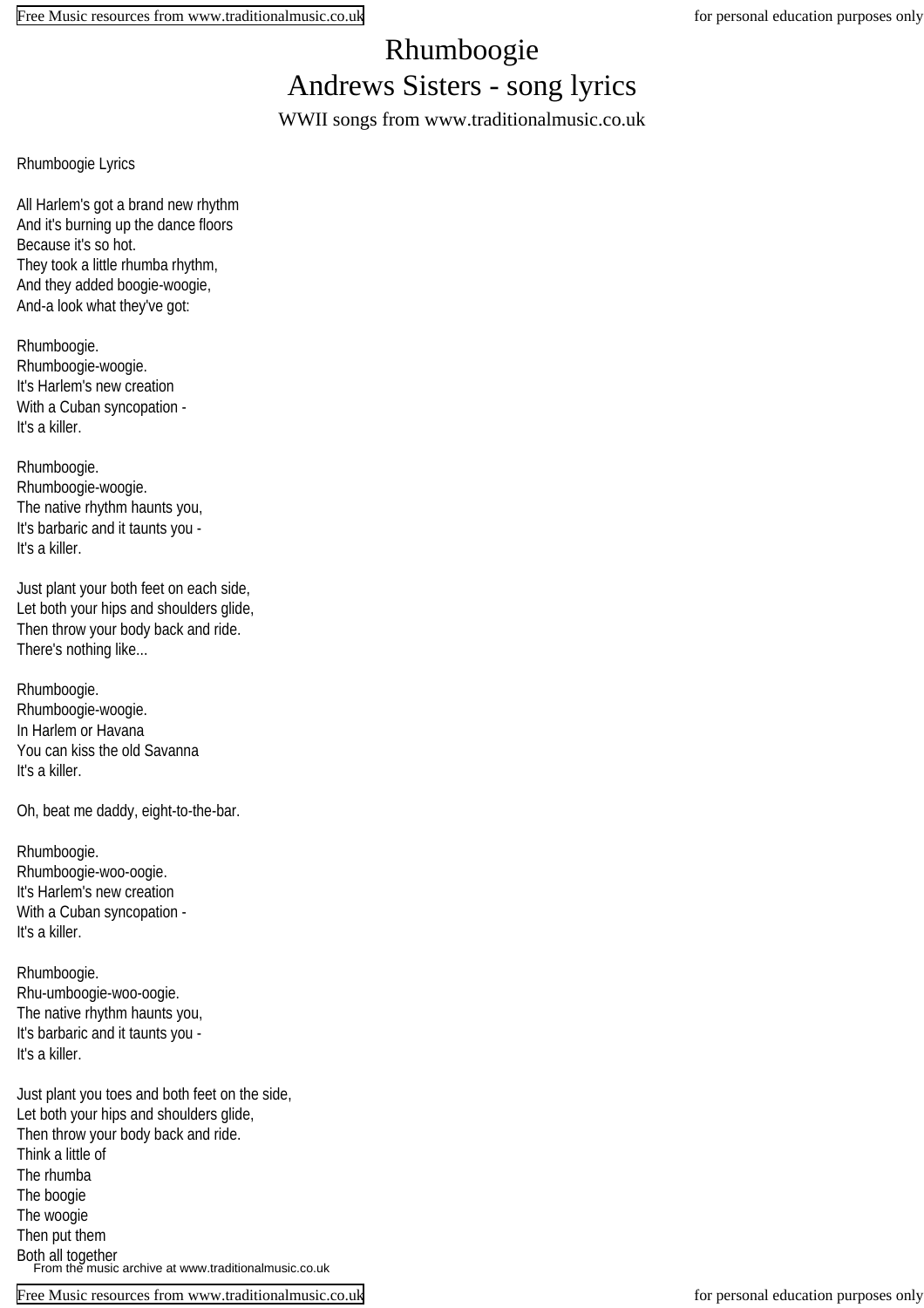## Rhumboogie Andrews Sisters - song lyrics

WWII songs from www.traditionalmusic.co.uk

Rhumboogie Lyrics

All Harlem's got a brand new rhythm And it's burning up the dance floors Because it's so hot. They took a little rhumba rhythm, And they added boogie-woogie, And-a look what they've got:

Rhumboogie. Rhumboogie-woogie. It's Harlem's new creation With a Cuban syncopation - It's a killer.

Rhumboogie. Rhumboogie-woogie. The native rhythm haunts you, It's barbaric and it taunts you - It's a killer.

Just plant your both feet on each side, Let both your hips and shoulders glide, Then throw your body back and ride. There's nothing like...

Rhumboogie. Rhumboogie-woogie. In Harlem or Havana You can kiss the old Savanna It's a killer.

Oh, beat me daddy, eight-to-the-bar.

Rhumboogie. Rhumboogie-woo-oogie. It's Harlem's new creation With a Cuban syncopation - It's a killer.

Rhumboogie. Rhu-umboogie-woo-oogie. The native rhythm haunts you, It's barbaric and it taunts you - It's a killer.

Just plant you toes and both feet on the side, Let both your hips and shoulders glide, Then throw your body back and ride. Think a little of The rhumba The boogie The woogie Then put them Both all together From the music archive at www.traditionalmusic.co.uk